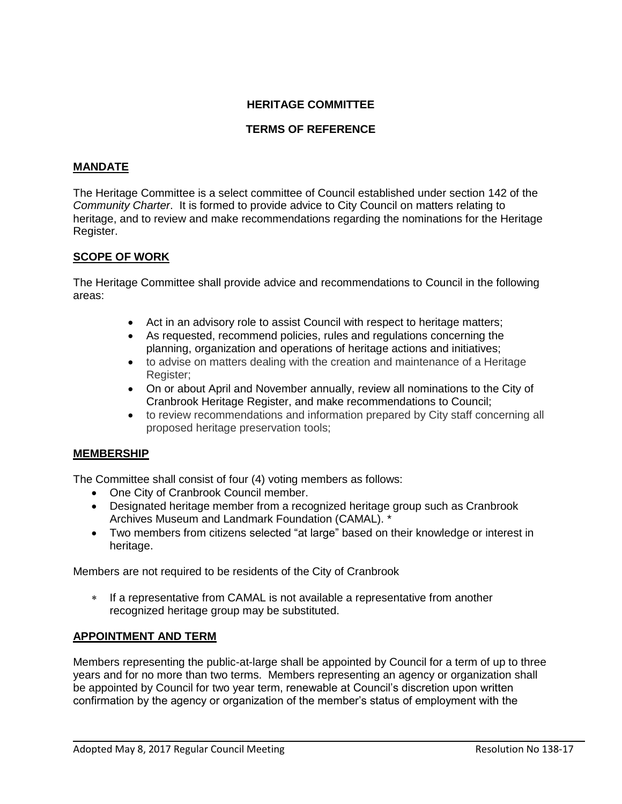# **HERITAGE COMMITTEE**

# **TERMS OF REFERENCE**

# **MANDATE**

The Heritage Committee is a select committee of Council established under section 142 of the *Community Charter*. It is formed to provide advice to City Council on matters relating to heritage, and to review and make recommendations regarding the nominations for the Heritage Register.

# **SCOPE OF WORK**

The Heritage Committee shall provide advice and recommendations to Council in the following areas:

- Act in an advisory role to assist Council with respect to heritage matters;
- As requested, recommend policies, rules and regulations concerning the planning, organization and operations of heritage actions and initiatives;
- to advise on matters dealing with the creation and maintenance of a Heritage Register;
- On or about April and November annually, review all nominations to the City of Cranbrook Heritage Register, and make recommendations to Council;
- to review recommendations and information prepared by City staff concerning all proposed heritage preservation tools;

# **MEMBERSHIP**

The Committee shall consist of four (4) voting members as follows:

- One City of Cranbrook Council member.
- Designated heritage member from a recognized heritage group such as Cranbrook Archives Museum and Landmark Foundation (CAMAL). \*
- Two members from citizens selected "at large" based on their knowledge or interest in heritage.

Members are not required to be residents of the City of Cranbrook

 If a representative from CAMAL is not available a representative from another recognized heritage group may be substituted.

# **APPOINTMENT AND TERM**

Members representing the public-at-large shall be appointed by Council for a term of up to three years and for no more than two terms. Members representing an agency or organization shall be appointed by Council for two year term, renewable at Council's discretion upon written confirmation by the agency or organization of the member's status of employment with the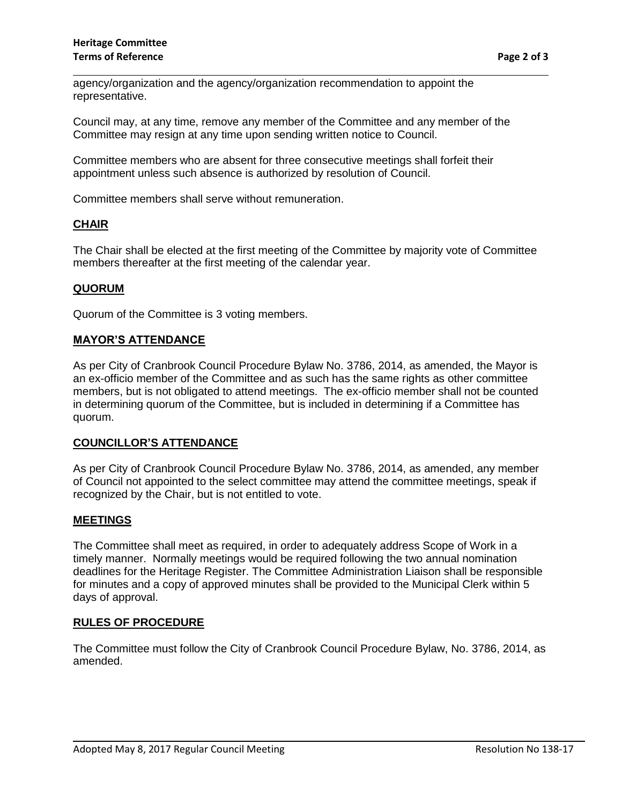agency/organization and the agency/organization recommendation to appoint the representative.

Council may, at any time, remove any member of the Committee and any member of the Committee may resign at any time upon sending written notice to Council.

Committee members who are absent for three consecutive meetings shall forfeit their appointment unless such absence is authorized by resolution of Council.

Committee members shall serve without remuneration.

## **CHAIR**

The Chair shall be elected at the first meeting of the Committee by majority vote of Committee members thereafter at the first meeting of the calendar year.

## **QUORUM**

Quorum of the Committee is 3 voting members.

## **MAYOR'S ATTENDANCE**

As per City of Cranbrook Council Procedure Bylaw No. 3786, 2014, as amended, the Mayor is an ex-officio member of the Committee and as such has the same rights as other committee members, but is not obligated to attend meetings. The ex-officio member shall not be counted in determining quorum of the Committee, but is included in determining if a Committee has quorum.

### **COUNCILLOR'S ATTENDANCE**

As per City of Cranbrook Council Procedure Bylaw No. 3786, 2014, as amended, any member of Council not appointed to the select committee may attend the committee meetings, speak if recognized by the Chair, but is not entitled to vote.

### **MEETINGS**

The Committee shall meet as required, in order to adequately address Scope of Work in a timely manner. Normally meetings would be required following the two annual nomination deadlines for the Heritage Register. The Committee Administration Liaison shall be responsible for minutes and a copy of approved minutes shall be provided to the Municipal Clerk within 5 days of approval.

### **RULES OF PROCEDURE**

The Committee must follow the City of Cranbrook Council Procedure Bylaw, No. 3786, 2014, as amended.